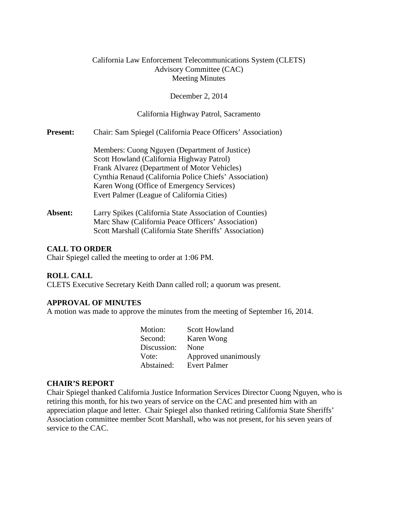## California Law Enforcement Telecommunications System (CLETS) Advisory Committee (CAC) Meeting Minutes

### December 2, 2014

### California Highway Patrol, Sacramento

**Present:** Chair: Sam Spiegel (California Peace Officers' Association)

Members: Cuong Nguyen (Department of Justice) Scott Howland (California Highway Patrol) Frank Alvarez (Department of Motor Vehicles) Cynthia Renaud (California Police Chiefs' Association) Karen Wong (Office of Emergency Services) Evert Palmer (League of California Cities)

Absent: Larry Spikes (California State Association of Counties) Marc Shaw (California Peace Officers' Association) Scott Marshall (California State Sheriffs' Association)

### **CALL TO ORDER**

Chair Spiegel called the meeting to order at 1:06 PM.

#### **ROLL CALL**

CLETS Executive Secretary Keith Dann called roll; a quorum was present.

#### **APPROVAL OF MINUTES**

A motion was made to approve the minutes from the meeting of September 16, 2014.

| Motion:     | <b>Scott Howland</b> |
|-------------|----------------------|
| Second:     | Karen Wong           |
| Discussion: | None                 |
| Vote:       | Approved unanimously |
| Abstained:  | <b>Evert Palmer</b>  |

### **CHAIR'S REPORT**

Chair Spiegel thanked California Justice Information Services Director Cuong Nguyen, who is retiring this month, for his two years of service on the CAC and presented him with an appreciation plaque and letter. Chair Spiegel also thanked retiring California State Sheriffs' Association committee member Scott Marshall, who was not present, for his seven years of service to the CAC.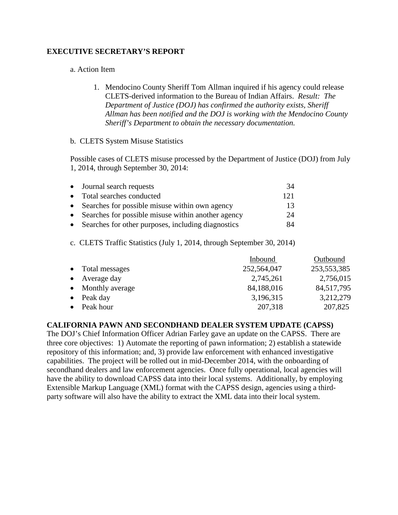## **EXECUTIVE SECRETARY'S REPORT**

### a. Action Item

1. Mendocino County Sheriff Tom Allman inquired if his agency could release CLETS-derived information to the Bureau of Indian Affairs. *Result: The Department of Justice (DOJ) has confirmed the authority exists, Sheriff Allman has been notified and the DOJ is working with the Mendocino County Sheriff's Department to obtain the necessary documentation.*

### b. CLETS System Misuse Statistics

Possible cases of CLETS misuse processed by the Department of Justice (DOJ) from July 1, 2014, through September 30, 2014:

| • Journal search requests                            | 34  |
|------------------------------------------------------|-----|
| • Total searches conducted                           | 121 |
| • Searches for possible misuse within own agency     | 13. |
| • Searches for possible misuse within another agency | 24  |
| • Searches for other purposes, including diagnostics | 84  |

c. CLETS Traffic Statistics (July 1, 2014, through September 30, 2014)

|           |                  | Inbound     | Outbound    |
|-----------|------------------|-------------|-------------|
|           | • Total messages | 252,564,047 | 253,553,385 |
| $\bullet$ | Average day      | 2,745,261   | 2,756,015   |
| $\bullet$ | Monthly average  | 84,188,016  | 84,517,795  |
|           | Peak day         | 3,196,315   | 3,212,279   |
|           | Peak hour        | 207,318     | 207,825     |

#### **CALIFORNIA PAWN AND SECONDHAND DEALER SYSTEM UPDATE (CAPSS)**

The DOJ's Chief Information Officer Adrian Farley gave an update on the CAPSS. There are three core objectives: 1) Automate the reporting of pawn information; 2) establish a statewide repository of this information; and, 3) provide law enforcement with enhanced investigative capabilities. The project will be rolled out in mid-December 2014, with the onboarding of secondhand dealers and law enforcement agencies. Once fully operational, local agencies will have the ability to download CAPSS data into their local systems. Additionally, by employing Extensible Markup Language (XML) format with the CAPSS design, agencies using a thirdparty software will also have the ability to extract the XML data into their local system.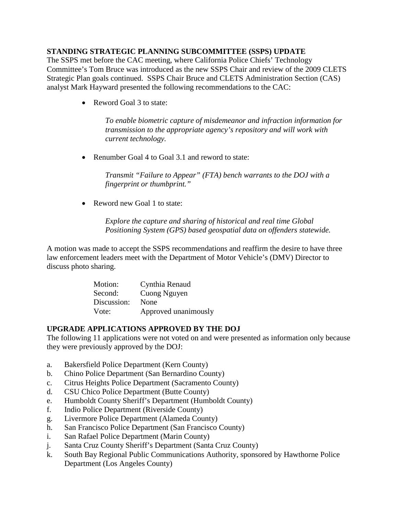## **STANDING STRATEGIC PLANNING SUBCOMMITTEE (SSPS) UPDATE**

The SSPS met before the CAC meeting, where California Police Chiefs' Technology Committee's Tom Bruce was introduced as the new SSPS Chair and review of the 2009 CLETS Strategic Plan goals continued. SSPS Chair Bruce and CLETS Administration Section (CAS) analyst Mark Hayward presented the following recommendations to the CAC:

• Reword Goal 3 to state:

*To enable biometric capture of misdemeanor and infraction information for transmission to the appropriate agency's repository and will work with current technology.* 

• Renumber Goal 4 to Goal 3.1 and reword to state:

*Transmit "Failure to Appear" (FTA) bench warrants to the DOJ with a fingerprint or thumbprint."* 

• Reword new Goal 1 to state:

*Explore the capture and sharing of historical and real time Global Positioning System (GPS) based geospatial data on offenders statewide.*

A motion was made to accept the SSPS recommendations and reaffirm the desire to have three law enforcement leaders meet with the Department of Motor Vehicle's (DMV) Director to discuss photo sharing.

| Motion:     | Cynthia Renaud       |
|-------------|----------------------|
| Second:     | Cuong Nguyen         |
| Discussion: | None                 |
| Vote:       | Approved unanimously |

## **UPGRADE APPLICATIONS APPROVED BY THE DOJ**

The following 11 applications were not voted on and were presented as information only because they were previously approved by the DOJ:

- a. Bakersfield Police Department (Kern County)
- b. Chino Police Department (San Bernardino County)
- c. Citrus Heights Police Department (Sacramento County)
- d. CSU Chico Police Department (Butte County)
- e. Humboldt County Sheriff's Department (Humboldt County)
- f. Indio Police Department (Riverside County)
- g. Livermore Police Department (Alameda County)
- h. San Francisco Police Department (San Francisco County)
- i. San Rafael Police Department (Marin County)
- j. Santa Cruz County Sheriff's Department (Santa Cruz County)
- k. South Bay Regional Public Communications Authority, sponsored by Hawthorne Police Department (Los Angeles County)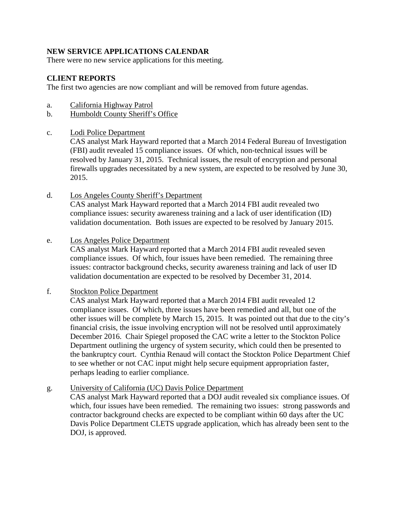# **NEW SERVICE APPLICATIONS CALENDAR**

There were no new service applications for this meeting.

# **CLIENT REPORTS**

The first two agencies are now compliant and will be removed from future agendas.

- a. California Highway Patrol
- b. Humboldt County Sheriff's Office
- c. Lodi Police Department

CAS analyst Mark Hayward reported that a March 2014 Federal Bureau of Investigation (FBI) audit revealed 15 compliance issues. Of which, non-technical issues will be resolved by January 31, 2015. Technical issues, the result of encryption and personal firewalls upgrades necessitated by a new system, are expected to be resolved by June 30, 2015.

d. Los Angeles County Sheriff's Department CAS analyst Mark Hayward reported that a March 2014 FBI audit revealed two

compliance issues: security awareness training and a lack of user identification (ID) validation documentation. Both issues are expected to be resolved by January 2015.

e. Los Angeles Police Department

CAS analyst Mark Hayward reported that a March 2014 FBI audit revealed seven compliance issues. Of which, four issues have been remedied. The remaining three issues: contractor background checks, security awareness training and lack of user ID validation documentation are expected to be resolved by December 31, 2014.

f. Stockton Police Department

CAS analyst Mark Hayward reported that a March 2014 FBI audit revealed 12 compliance issues. Of which, three issues have been remedied and all, but one of the other issues will be complete by March 15, 2015. It was pointed out that due to the city's financial crisis, the issue involving encryption will not be resolved until approximately December 2016. Chair Spiegel proposed the CAC write a letter to the Stockton Police Department outlining the urgency of system security, which could then be presented to the bankruptcy court. Cynthia Renaud will contact the Stockton Police Department Chief to see whether or not CAC input might help secure equipment appropriation faster, perhaps leading to earlier compliance.

## g. University of California (UC) Davis Police Department

CAS analyst Mark Hayward reported that a DOJ audit revealed six compliance issues. Of which, four issues have been remedied. The remaining two issues: strong passwords and contractor background checks are expected to be compliant within 60 days after the UC Davis Police Department CLETS upgrade application, which has already been sent to the DOJ, is approved.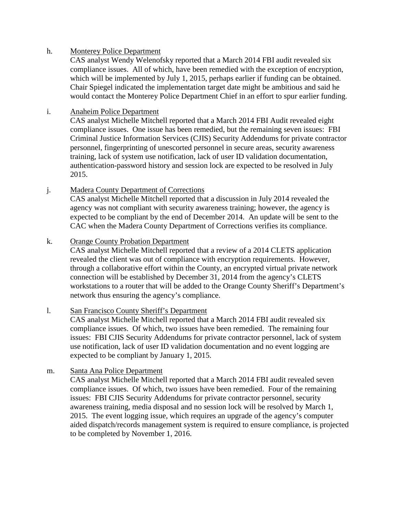## h. Monterey Police Department

CAS analyst Wendy Welenofsky reported that a March 2014 FBI audit revealed six compliance issues. All of which, have been remedied with the exception of encryption, which will be implemented by July 1, 2015, perhaps earlier if funding can be obtained. Chair Spiegel indicated the implementation target date might be ambitious and said he would contact the Monterey Police Department Chief in an effort to spur earlier funding.

## i. Anaheim Police Department

CAS analyst Michelle Mitchell reported that a March 2014 FBI Audit revealed eight compliance issues. One issue has been remedied, but the remaining seven issues: FBI Criminal Justice Information Services (CJIS) Security Addendums for private contractor personnel, fingerprinting of unescorted personnel in secure areas, security awareness training, lack of system use notification, lack of user ID validation documentation, authentication-password history and session lock are expected to be resolved in July 2015.

j. Madera County Department of Corrections

CAS analyst Michelle Mitchell reported that a discussion in July 2014 revealed the agency was not compliant with security awareness training; however, the agency is expected to be compliant by the end of December 2014. An update will be sent to the CAC when the Madera County Department of Corrections verifies its compliance.

# k. Orange County Probation Department

CAS analyst Michelle Mitchell reported that a review of a 2014 CLETS application revealed the client was out of compliance with encryption requirements. However, through a collaborative effort within the County, an encrypted virtual private network connection will be established by December 31, 2014 from the agency's CLETS workstations to a router that will be added to the Orange County Sheriff's Department's network thus ensuring the agency's compliance.

## l. San Francisco County Sheriff's Department

CAS analyst Michelle Mitchell reported that a March 2014 FBI audit revealed six compliance issues. Of which, two issues have been remedied. The remaining four issues: FBI CJIS Security Addendums for private contractor personnel, lack of system use notification, lack of user ID validation documentation and no event logging are expected to be compliant by January 1, 2015.

## m. Santa Ana Police Department

CAS analyst Michelle Mitchell reported that a March 2014 FBI audit revealed seven compliance issues. Of which, two issues have been remedied. Four of the remaining issues: FBI CJIS Security Addendums for private contractor personnel, security awareness training, media disposal and no session lock will be resolved by March 1, 2015. The event logging issue, which requires an upgrade of the agency's computer aided dispatch/records management system is required to ensure compliance, is projected to be completed by November 1, 2016.